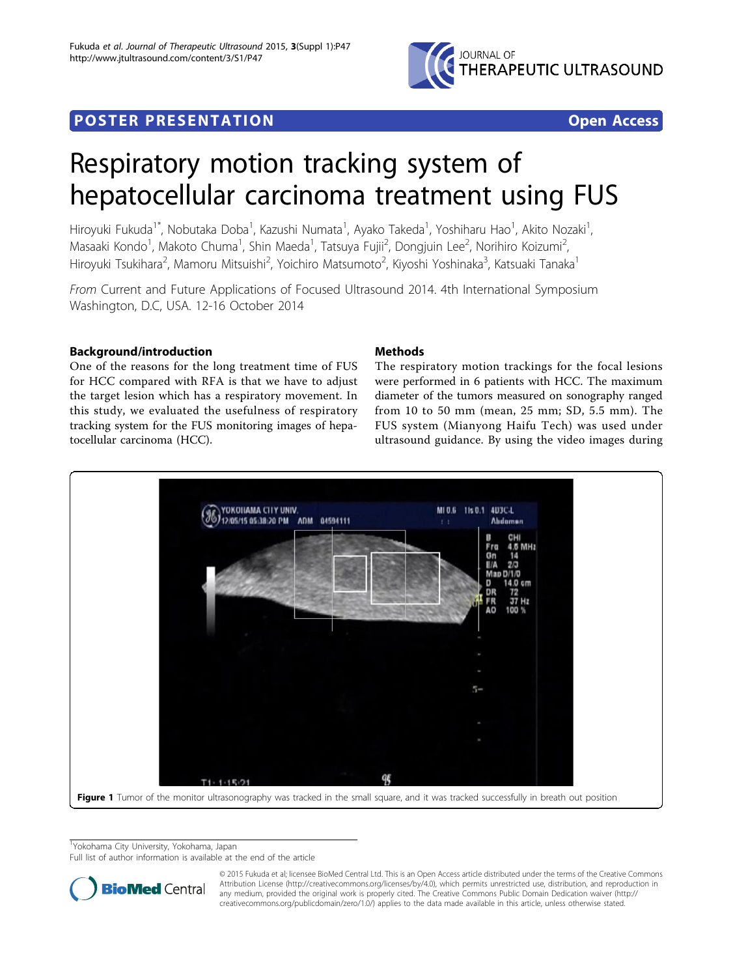

# <span id="page-0-0"></span>**POSTER PRESENTATION CONSUMING ACCESS**

# Respiratory motion tracking system of hepatocellular carcinoma treatment using FUS

Hiroyuki Fukuda<sup>1\*</sup>, Nobutaka Doba<sup>1</sup>, Kazushi Numata<sup>1</sup>, Ayako Takeda<sup>1</sup>, Yoshiharu Hao<sup>1</sup>, Akito Nozaki<sup>1</sup> , Masaaki Kondo<sup>1</sup>, Makoto Chuma<sup>1</sup>, Shin Maeda<sup>1</sup>, Tatsuya Fujii<sup>2</sup>, Dongjuin Lee<sup>2</sup>, Norihiro Koizumi<sup>2</sup> , Hiroyuki Tsukihara<sup>2</sup>, Mamoru Mitsuishi<sup>2</sup>, Yoichiro Matsumoto<sup>2</sup>, Kiyoshi Yoshinaka<sup>3</sup>, Katsuaki Tanaka<sup>1</sup>

From Current and Future Applications of Focused Ultrasound 2014. 4th International Symposium Washington, D.C, USA. 12-16 October 2014

## Background/introduction

One of the reasons for the long treatment time of FUS for HCC compared with RFA is that we have to adjust the target lesion which has a respiratory movement. In this study, we evaluated the usefulness of respiratory tracking system for the FUS monitoring images of hepatocellular carcinoma (HCC).

### Methods

The respiratory motion trackings for the focal lesions were performed in 6 patients with HCC. The maximum diameter of the tumors measured on sonography ranged from 10 to 50 mm (mean, 25 mm; SD, 5.5 mm). The FUS system (Mianyong Haifu Tech) was used under ultrasound guidance. By using the video images during



<sup>1</sup>Yokohama City University, Yokohama, Japan

Full list of author information is available at the end of the article



© 2015 Fukuda et al; licensee BioMed Central Ltd. This is an Open Access article distributed under the terms of the Creative Commons Attribution License [\(http://creativecommons.org/licenses/by/4.0](http://creativecommons.org/licenses/by/4.0)), which permits unrestricted use, distribution, and reproduction in any medium, provided the original work is properly cited. The Creative Commons Public Domain Dedication waiver [\(http://](http://creativecommons.org/publicdomain/zero/1.0/) [creativecommons.org/publicdomain/zero/1.0/](http://creativecommons.org/publicdomain/zero/1.0/)) applies to the data made available in this article, unless otherwise stated.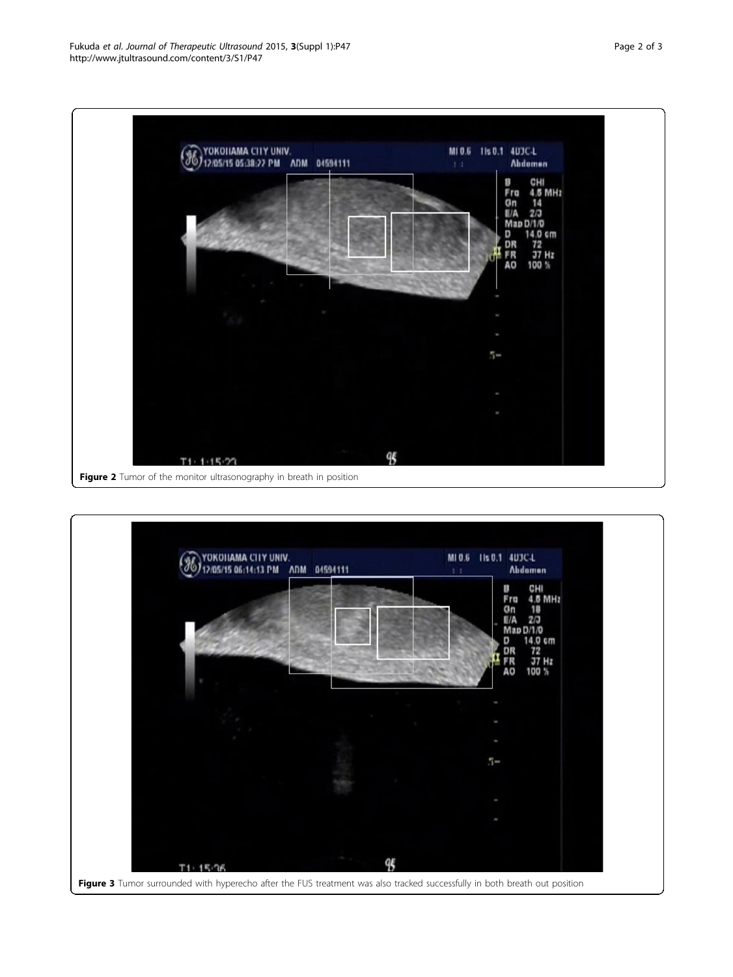<span id="page-1-0"></span>

Figure 2 Tumor of the monitor ultrasonography in breath in position